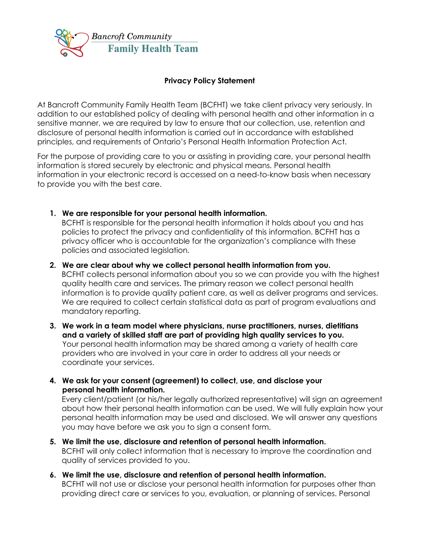

### **Privacy Policy Statement**

At Bancroft Community Family Health Team (BCFHT) we take client privacy very seriously. In addition to our established policy of dealing with personal health and other information in a sensitive manner, we are required by law to ensure that our collection, use, retention and disclosure of personal health information is carried out in accordance with established principles, and requirements of Ontario's Personal Health Information Protection Act.

For the purpose of providing care to you or assisting in providing care, your personal health information is stored securely by electronic and physical means. Personal health information in your electronic record is accessed on a need-to-know basis when necessary to provide you with the best care.

**1. We are responsible for your personal health information.** 

BCFHT is responsible for the personal health information it holds about you and has policies to protect the privacy and confidentiality of this information. BCFHT has a privacy officer who is accountable for the organization's compliance with these policies and associated legislation.

**2. We are clear about why we collect personal health information from you.**

BCFHT collects personal information about you so we can provide you with the highest quality health care and services. The primary reason we collect personal health information is to provide quality patient care, as well as deliver programs and services. We are required to collect certain statistical data as part of program evaluations and mandatory reporting.

- **3. We work in a team model where physicians, nurse practitioners, nurses, dietitians and a variety of skilled staff are part of providing high quality services to you.** Your personal health information may be shared among a variety of health care providers who are involved in your care in order to address all your needs or coordinate your services.
- **4. We ask for your consent (agreement) to collect, use, and disclose your personal health information.**

Every client/patient (or his/her legally authorized representative) will sign an agreement about how their personal health information can be used. We will fully explain how your personal health information may be used and disclosed. We will answer any questions you may have before we ask you to sign a consent form.

- **5. We limit the use, disclosure and retention of personal health information.** BCFHT will only collect information that is necessary to improve the coordination and quality of services provided to you.
- **6. We limit the use, disclosure and retention of personal health information.** BCFHT will not use or disclose your personal health information for purposes other than providing direct care or services to you, evaluation, or planning of services. Personal